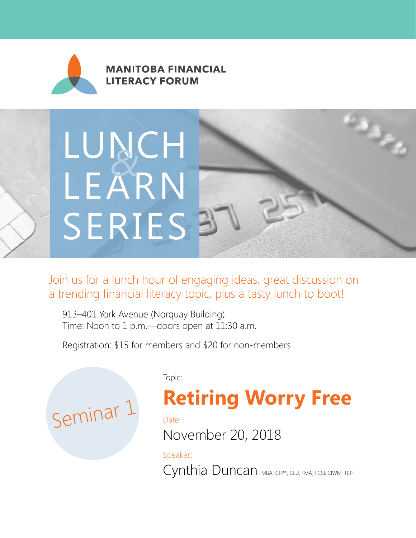

**MANITOBA FINANCIAL LITERACY FORUM** 

# LUNCH LEARN SERIES<sup>3</sup> *&*

Join us for a lunch hour of engaging ideas, great discussion on a trending financial literacy topic, plus a tasty lunch to boot!

913–401 York Avenue (Norquay Building) Time: Noon to 1 p.m.—doors open at 11:30 a.m.

Registration: \$15 for members and \$20 for non-members



Topic:

## **Retiring Worry Free**

as per

Date:

November 20, 2018

Speaker: Cynthia Duncan MBA, CFP®, CLU, FMA, FCSI, CIWM, TEP